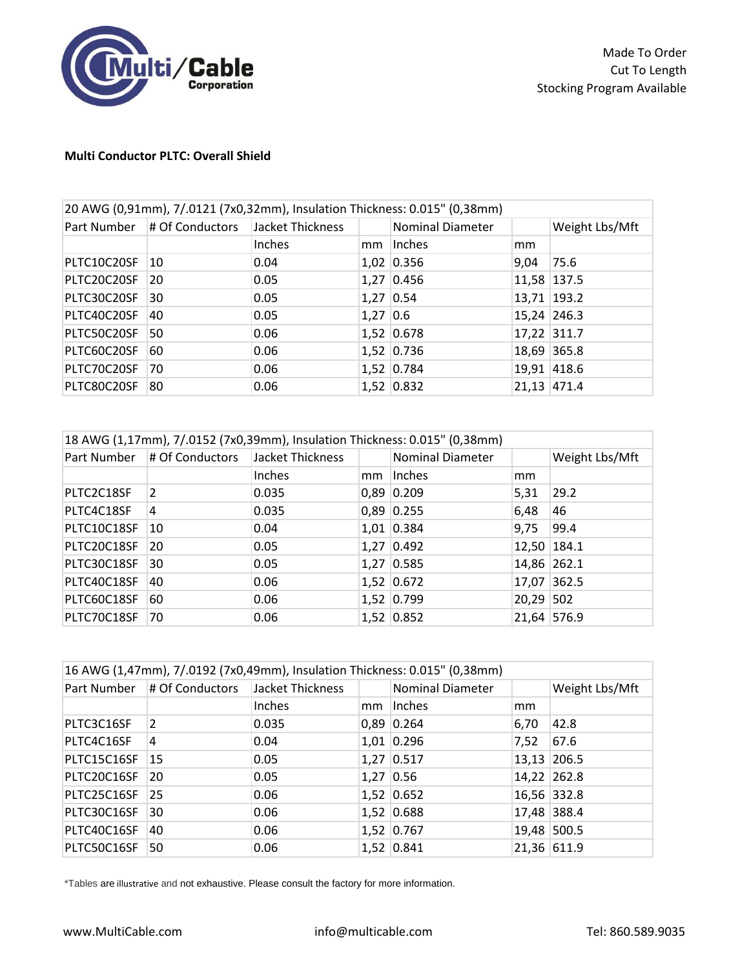

## **Multi Conductor PLTC: Overall Shield**

| 20 AWG (0,91mm), 7/.0121 (7x0,32mm), Insulation Thickness: 0.015" (0,38mm) |                 |                  |             |                         |             |                |
|----------------------------------------------------------------------------|-----------------|------------------|-------------|-------------------------|-------------|----------------|
| Part Number                                                                | # Of Conductors | Jacket Thickness |             | <b>Nominal Diameter</b> |             | Weight Lbs/Mft |
|                                                                            |                 | Inches           | mm          | Inches                  | mm          |                |
| PLTC10C20SF                                                                | 10              | 0.04             |             | 1,02 0.356              | 9,04        | 75.6           |
| PLTC20C20SF                                                                | 20              | 0.05             |             | $1,27$ 0.456            | 11,58 137.5 |                |
| PLTC30C20SF                                                                | 30              | 0.05             | $1,27$ 0.54 |                         | 13,71 193.2 |                |
| PLTC40C20SF                                                                | 40              | 0.05             | $1,27$ 0.6  |                         |             | 15,24 246.3    |
| PLTC50C20SF                                                                | 50              | 0.06             |             | 1,52 0.678              | 17,22 311.7 |                |
| PLTC60C20SF                                                                | 60              | 0.06             |             | 1,52 0.736              |             | 18,69 365.8    |
| PLTC70C20SF                                                                | 70              | 0.06             |             | 1,52 0.784              |             | 19,91 418.6    |
| PLTC80C20SF                                                                | 80              | 0.06             |             | 1,52 0.832              |             | 21,13 471.4    |

| 18 AWG (1,17mm), 7/.0152 (7x0,39mm), Insulation Thickness: 0.015" (0,38mm) |                 |                  |    |                         |             |                |
|----------------------------------------------------------------------------|-----------------|------------------|----|-------------------------|-------------|----------------|
| Part Number                                                                | # Of Conductors | Jacket Thickness |    | <b>Nominal Diameter</b> |             | Weight Lbs/Mft |
|                                                                            |                 | Inches           | mm | Inches                  | mm          |                |
| PLTC2C18SF                                                                 | 2               | 0.035            |    | $0,89$ 0.209            | 5,31        | 29.2           |
| PLTC4C18SF                                                                 | 4               | 0.035            |    | $0,89$ 0.255            | 6,48        | 46             |
| PLTC10C18SF                                                                | 10              | 0.04             |    | $1,01$ 0.384            | 9,75        | 99.4           |
| PLTC20C18SF                                                                | 20              | 0.05             |    | $1,27$ 0.492            | 12,50 184.1 |                |
| PLTC30C18SF                                                                | 30              | 0.05             |    | $1,27$ 0.585            | 14,86 262.1 |                |
| PLTC40C18SF                                                                | 40              | 0.06             |    | $1,52$ 0.672            | 17,07 362.5 |                |
| PLTC60C18SF                                                                | 60              | 0.06             |    | 1,52 0.799              | 20,29 502   |                |
| PLTC70C18SF                                                                | 70              | 0.06             |    | $1,52$ 0.852            | 21,64 576.9 |                |

| 16 AWG (1,47mm), 7/.0192 (7x0,49mm), Insulation Thickness: 0.015" (0,38mm) |                 |                  |  |                         |      |                |
|----------------------------------------------------------------------------|-----------------|------------------|--|-------------------------|------|----------------|
| Part Number                                                                | # Of Conductors | Jacket Thickness |  | <b>Nominal Diameter</b> |      | Weight Lbs/Mft |
|                                                                            |                 | Inches           |  | mm linches              | mm   |                |
| PLTC3C16SF                                                                 | 2               | 0.035            |  | $0,89$ 0.264            | 6,70 | 42.8           |
| PLTC4C16SF                                                                 | 4               | 0.04             |  | $1,01$ 0.296            | 7,52 | 67.6           |
| PLTC15C16SF                                                                | 15              | 0.05             |  | $1,27$ 0.517            |      | 13,13 206.5    |
| PLTC20C16SF                                                                | 20              | 0.05             |  | $1,27$ 0.56             |      | 14,22 262.8    |
| PLTC25C16SF                                                                | 25              | 0.06             |  | $1,52$ 0.652            |      | 16,56 332.8    |
| PLTC30C16SF                                                                | 30              | 0.06             |  | $1,52$ 0.688            |      | 17,48 388.4    |
| PLTC40C16SF                                                                | 40              | 0.06             |  | $1,52$ 0.767            |      | 19,48 500.5    |
| PLTC50C16SF                                                                | 50              | 0.06             |  | 1,52 0.841              |      | 21,36 611.9    |

\*Tables are illustrative and not exhaustive. Please consult the factory for more information.